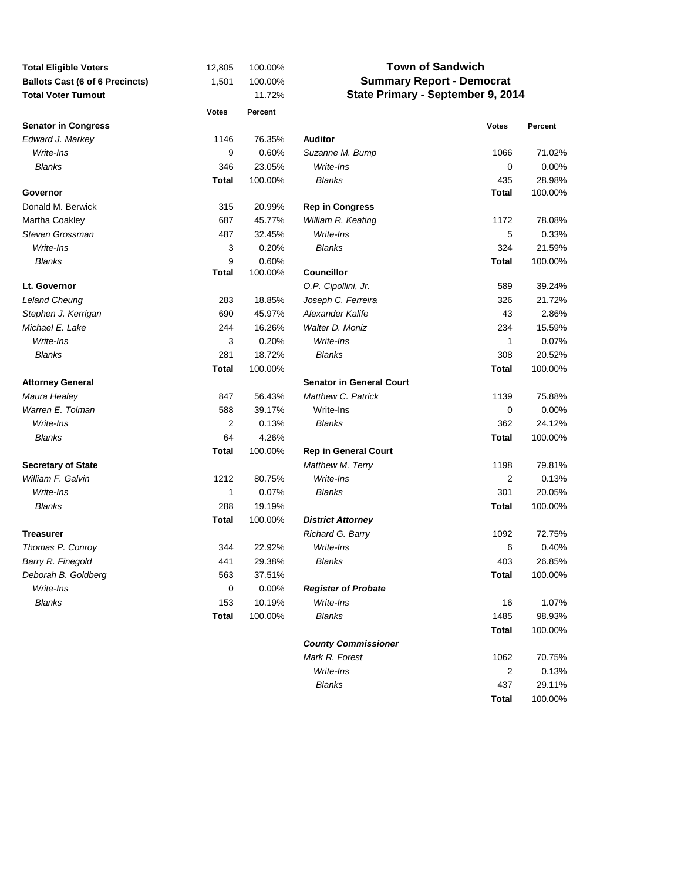| <b>Total Eligible Voters</b>           | 12,805       | 100.00% | <b>Town of Sandwich</b>           |              |         |  |  |  |
|----------------------------------------|--------------|---------|-----------------------------------|--------------|---------|--|--|--|
| <b>Ballots Cast (6 of 6 Precincts)</b> | 1,501        | 100.00% | <b>Summary Report - Democrat</b>  |              |         |  |  |  |
| <b>Total Voter Turnout</b>             |              | 11.72%  | State Primary - September 9, 2014 |              |         |  |  |  |
|                                        | <b>Votes</b> | Percent |                                   |              |         |  |  |  |
| <b>Senator in Congress</b>             |              |         |                                   | <b>Votes</b> | Percent |  |  |  |
| Edward J. Markey                       | 1146         | 76.35%  | <b>Auditor</b>                    |              |         |  |  |  |
| Write-Ins                              | 9            | 0.60%   | Suzanne M. Bump                   | 1066         | 71.02%  |  |  |  |
| <b>Blanks</b>                          | 346          | 23.05%  | Write-Ins                         | 0            | 0.00%   |  |  |  |
|                                        | <b>Total</b> | 100.00% | <b>Blanks</b>                     | 435          | 28.98%  |  |  |  |
| Governor                               |              |         |                                   | Total        | 100.00% |  |  |  |
| Donald M. Berwick                      | 315          | 20.99%  | <b>Rep in Congress</b>            |              |         |  |  |  |
| Martha Coakley                         | 687          | 45.77%  | William R. Keating                | 1172         | 78.08%  |  |  |  |
| Steven Grossman                        | 487          | 32.45%  | Write-Ins                         | 5            | 0.33%   |  |  |  |
| Write-Ins                              | 3            | 0.20%   | <b>Blanks</b>                     | 324          | 21.59%  |  |  |  |
| <b>Blanks</b>                          | 9            | 0.60%   |                                   | <b>Total</b> | 100.00% |  |  |  |
|                                        | <b>Total</b> | 100.00% | <b>Councillor</b>                 |              |         |  |  |  |
| Lt. Governor                           |              |         | O.P. Cipollini, Jr.               | 589          | 39.24%  |  |  |  |
| Leland Cheung                          | 283          | 18.85%  | Joseph C. Ferreira                | 326          | 21.72%  |  |  |  |
| Stephen J. Kerrigan                    | 690          | 45.97%  | Alexander Kalife                  | 43           | 2.86%   |  |  |  |
| Michael E. Lake                        | 244          | 16.26%  | Walter D. Moniz                   | 234          | 15.59%  |  |  |  |
| Write-Ins                              | 3            | 0.20%   | Write-Ins                         | 1            | 0.07%   |  |  |  |
| <b>Blanks</b>                          | 281          | 18.72%  | <b>Blanks</b>                     | 308          | 20.52%  |  |  |  |
|                                        | <b>Total</b> | 100.00% |                                   | <b>Total</b> | 100.00% |  |  |  |
| <b>Attorney General</b>                |              |         | <b>Senator in General Court</b>   |              |         |  |  |  |
| Maura Healey                           | 847          | 56.43%  | Matthew C. Patrick                | 1139         | 75.88%  |  |  |  |
| Warren E. Tolman                       | 588          | 39.17%  | Write-Ins                         | 0            | 0.00%   |  |  |  |
| Write-Ins                              | 2            | 0.13%   | <b>Blanks</b>                     | 362          | 24.12%  |  |  |  |
| <b>Blanks</b>                          | 64           | 4.26%   |                                   | <b>Total</b> | 100.00% |  |  |  |
|                                        | <b>Total</b> | 100.00% | <b>Rep in General Court</b>       |              |         |  |  |  |
| <b>Secretary of State</b>              |              |         | Matthew M. Terry                  | 1198         | 79.81%  |  |  |  |
| William F. Galvin                      | 1212         | 80.75%  | Write-Ins                         | 2            | 0.13%   |  |  |  |
| Write-Ins                              | 1            | 0.07%   | <b>Blanks</b>                     | 301          | 20.05%  |  |  |  |
| <b>Blanks</b>                          | 288          | 19.19%  |                                   | Total        | 100.00% |  |  |  |
|                                        | <b>Total</b> | 100.00% | <b>District Attorney</b>          |              |         |  |  |  |
| Treasurer                              |              |         | Richard G. Barry                  | 1092         | 72.75%  |  |  |  |
| Thomas P. Conroy                       | 344          | 22.92%  | Write-Ins                         | 6            | 0.40%   |  |  |  |
| Barry R. Finegold                      | 441          | 29.38%  | <b>Blanks</b>                     | 403          | 26.85%  |  |  |  |
| Deborah B. Goldberg                    | 563          | 37.51%  |                                   | <b>Total</b> | 100.00% |  |  |  |
| Write-Ins                              | $\pmb{0}$    | 0.00%   | <b>Register of Probate</b>        |              |         |  |  |  |
| <b>Blanks</b>                          | 153          | 10.19%  | Write-Ins                         | 16           | 1.07%   |  |  |  |
|                                        | <b>Total</b> | 100.00% | <b>Blanks</b>                     | 1485         | 98.93%  |  |  |  |
|                                        |              |         |                                   |              |         |  |  |  |
|                                        |              |         |                                   | <b>Total</b> | 100.00% |  |  |  |
|                                        |              |         | <b>County Commissioner</b>        |              |         |  |  |  |
|                                        |              |         | Mark R. Forest                    | 1062         | 70.75%  |  |  |  |
|                                        |              |         | Write-Ins                         | 2            | 0.13%   |  |  |  |
|                                        |              |         | <b>Blanks</b>                     | 437          | 29.11%  |  |  |  |

**Total** 100.00%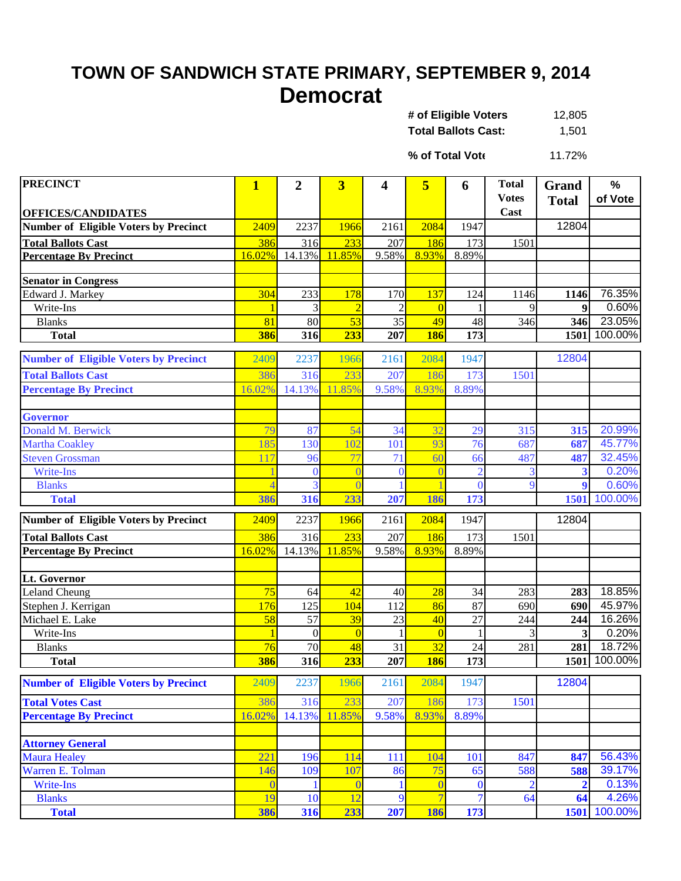## **TOWN OF SANDWICH STATE PRIMARY, SEPTEMBER 9, 2014 Democrat**

| # of Eligible Voters       | 12,805 |
|----------------------------|--------|
| <b>Total Ballots Cast:</b> | 1,501  |

11.72% **% of Total Vote**

| <b>PRECINCT</b>                              | $\overline{\mathbf{1}}$ | $\overline{2}$  | $\overline{\mathbf{3}}$ | 4               | 5                    | 6              | <b>Total</b>   | Grand        | %               |
|----------------------------------------------|-------------------------|-----------------|-------------------------|-----------------|----------------------|----------------|----------------|--------------|-----------------|
|                                              |                         |                 |                         |                 |                      |                | <b>Votes</b>   | <b>Total</b> | of Vote         |
| <b>OFFICES/CANDIDATES</b>                    | 2409                    | 2237            | 1966                    | 2161            | 2084                 | 1947           | Cast           | 12804        |                 |
| <b>Number of Eligible Voters by Precinct</b> |                         |                 |                         |                 |                      |                |                |              |                 |
| <b>Total Ballots Cast</b>                    | 386<br>16.02%           | 316<br>14.13%   | 233<br>11.85%           | 207             | 186<br>8.93%         | 173            | 1501           |              |                 |
| <b>Percentage By Precinct</b>                |                         |                 |                         | 9.58%           |                      | 8.89%          |                |              |                 |
| <b>Senator in Congress</b>                   |                         |                 |                         |                 |                      |                |                |              |                 |
| Edward J. Markey                             | 304                     | 233             | 178                     | 170             | 137                  | 124            | 1146           | 1146         | 76.35%          |
| Write-Ins                                    |                         | 3               |                         |                 | $\overline{0}$       |                | 9              | 9            | 0.60%           |
| <b>Blanks</b>                                | 81                      | $\overline{80}$ | 53                      | $\overline{35}$ | 49                   | 48             | 346            | 346          | 23.05%          |
| <b>Total</b>                                 | 386                     | 316             | 233                     | 207             | <b>186</b>           | 173            |                | 1501         | 100.00%         |
| <b>Number of Eligible Voters by Precinct</b> | 2409                    | 2237            | 1966                    | 2161            | 2084                 | 1947           |                | 12804        |                 |
| <b>Total Ballots Cast</b>                    | 386                     | 316             | 233                     | 207             | 186                  | 173            | 1501           |              |                 |
| <b>Percentage By Precinct</b>                | 16.02%                  | 14.13%          | 11.85%                  | 9.58%           | 8.93%                | 8.89%          |                |              |                 |
|                                              |                         |                 |                         |                 |                      |                |                |              |                 |
| <b>Governor</b>                              |                         |                 |                         |                 |                      |                |                |              |                 |
| Donald M. Berwick                            | 79                      | 87              | 54                      | 34              | 32                   | 29             | 315            | 315          | 20.99%          |
| <b>Martha Coakley</b>                        | 185                     | 130             | 102                     | 101             | 93                   | 76             | 687            | 687          | 45.77%          |
| <b>Steven Grossman</b>                       | 117                     | 96              | 77                      | 71              | 60                   | 66             | 487            | 487          | 32.45%          |
| <b>Write-Ins</b>                             |                         | $\theta$        | $\overline{0}$          | $\theta$        | $\overline{0}$       | $\overline{2}$ | 3              | 3            | 0.20%           |
| <b>Blanks</b>                                | $\overline{4}$          | 3               | $\Omega$                |                 |                      | $\theta$       | 9              | 9            | 0.60%           |
| <b>Total</b>                                 | 386                     | 316             | 233                     | 207             | 186                  | 173            |                | 1501         | 100.00%         |
| <b>Number of Eligible Voters by Precinct</b> | 2409                    | 2237            | 1966                    | 2161            | 2084                 | 1947           |                | 12804        |                 |
| <b>Total Ballots Cast</b>                    | 386                     | 316             | 233                     | 207             | 186                  | 173            | 1501           |              |                 |
| <b>Percentage By Precinct</b>                | 16.02%                  | 14.13%          | 11.85%                  | 9.58%           | 8.93%                | 8.89%          |                |              |                 |
|                                              |                         |                 |                         |                 |                      |                |                |              |                 |
| Lt. Governor                                 |                         |                 |                         |                 |                      |                |                |              |                 |
| <b>Leland Cheung</b>                         | 75                      | 64              | 42                      | 40              | 28                   | 34             | 283            | 283          | 18.85%          |
| Stephen J. Kerrigan                          | 176                     | 125             | 104                     | 112             | 86                   | 87             | 690            | 690          | 45.97%          |
| Michael E. Lake                              | 58                      | 57              | 39                      | 23              | 40                   | 27             | 244            | 244          | 16.26%          |
| Write-Ins<br><b>Blanks</b>                   | $\overline{\mathbf{1}}$ | $\theta$<br>70  | $\Omega$                | 31              | $\overline{0}$<br>32 |                | 3              | 3            | 0.20%<br>18.72% |
| <b>Total</b>                                 | 76<br>386               | 316             | 48<br>233               | 207             | <b>186</b>           | 24<br>173      | 281            | 281<br>1501  | 100.00%         |
|                                              |                         |                 |                         |                 |                      |                |                |              |                 |
| <b>Number of Eligible Voters by Precinct</b> | 2409                    | 2237            | 1966                    | 2161            | 2084                 | 1947           |                | 12804        |                 |
| <b>Total Votes Cast</b>                      | 386                     | 316             | 233                     | 207             | 186                  | 173            | 1501           |              |                 |
| <b>Percentage By Precinct</b>                | 16.02%                  | 14.13%          | 11.85%                  | 9.58%           | 8.93%                | 8.89%          |                |              |                 |
|                                              |                         |                 |                         |                 |                      |                |                |              |                 |
| <b>Attorney General</b>                      |                         |                 |                         |                 |                      |                |                |              |                 |
| <b>Maura Healey</b>                          | 221                     | 196             | 114                     | 111             | 104                  | 101            | 847            | 847          | 56.43%          |
| Warren E. Tolman                             | 146                     | 109             | 107                     | 86              | 75                   | 65             | 588            | 588          | 39.17%          |
| Write-Ins                                    | $\theta$                |                 | $\bf{0}$                |                 | $\overline{0}$       | $\bf{0}$       | $\overline{2}$ |              | 0.13%<br>4.26%  |
| <b>Blanks</b>                                | 19                      | 10              | 12                      | 9               | $\overline{7}$       | 7              | 64             | 64           | 1501 100.00%    |
| <b>Total</b>                                 | 386                     | 316             | 233                     | 207             | 186                  | 173            |                |              |                 |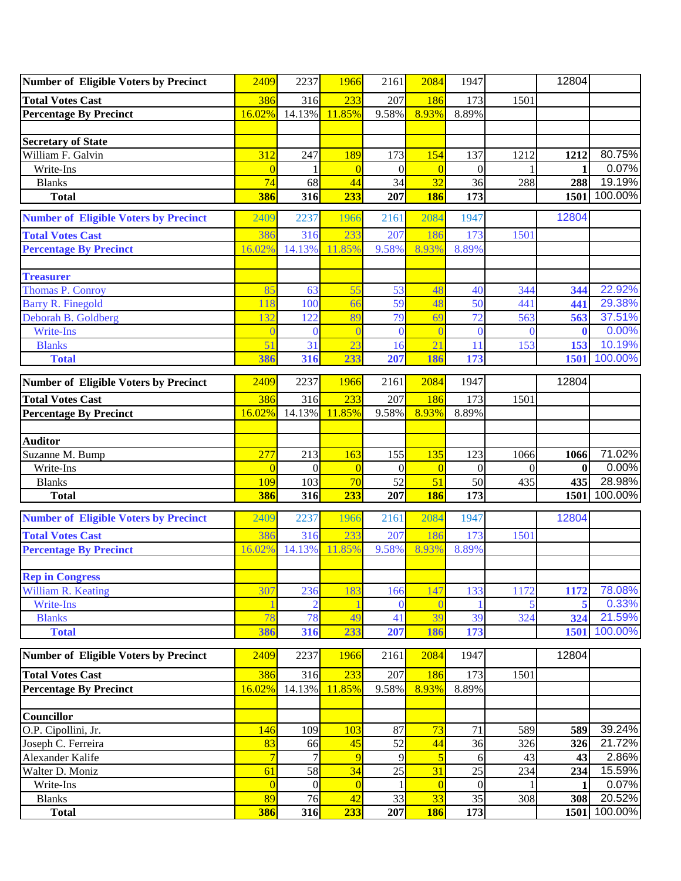| <b>Number of Eligible Voters by Precinct</b> | 2409           | 2237           | 1966           | 2161     | 2084           | 1947             |          | 12804        |         |
|----------------------------------------------|----------------|----------------|----------------|----------|----------------|------------------|----------|--------------|---------|
| <b>Total Votes Cast</b>                      | 386            | 316            | 233            | 207      | 186            | 173              | 1501     |              |         |
| <b>Percentage By Precinct</b>                | 16.02%         | 14.13%         | 11.85%         | 9.58%    | 8.93%          | 8.89%            |          |              |         |
|                                              |                |                |                |          |                |                  |          |              |         |
| <b>Secretary of State</b>                    |                |                |                |          |                |                  |          |              |         |
| William F. Galvin                            | 312            | 247            | 189            | 173      | 154            | 137              | 1212     | 1212         | 80.75%  |
| Write-Ins                                    | $\overline{0}$ |                | $\overline{0}$ | $\theta$ | $\overline{0}$ | $\mathbf{0}$     |          |              | 0.07%   |
| <b>Blanks</b>                                | 74             | 68             | 44             | 34       | 32             | 36               | 288      | 288          | 19.19%  |
| <b>Total</b>                                 | 386            | 316            | 233            | 207      | <b>186</b>     | 173              |          | 1501         | 100.00% |
| <b>Number of Eligible Voters by Precinct</b> | 2409           | 2237           | 1966           | 2161     | 2084           | 1947             |          | 12804        |         |
| <b>Total Votes Cast</b>                      | 386            | 316            | 233            | 207      | 186            | 173              | 1501     |              |         |
| <b>Percentage By Precinct</b>                | 16.02%         | 14.13%         | 11.85%         | 9.58%    | 8.93%          | 8.89%            |          |              |         |
|                                              |                |                |                |          |                |                  |          |              |         |
| <b>Treasurer</b>                             |                |                |                |          |                |                  |          |              |         |
| <b>Thomas P. Conroy</b>                      | 85             | 63             | 55             | 53       | 48             | 40               | 344      | 344          | 22.92%  |
| <b>Barry R. Finegold</b>                     | 118            | 100            | 66             | 59       | 48             | 50               | 441      | 441          | 29.38%  |
| Deborah B. Goldberg                          | 132            | 122            | 89             | 79       | 69             | 72               | 563      | 563          | 37.51%  |
| Write-Ins                                    |                | $\theta$       | $\overline{0}$ | $\Omega$ | $\Omega$       | $\theta$         | ſ        | $\mathbf{0}$ | 0.00%   |
| <b>Blanks</b>                                | 51             | 31             | 23             | 16       | 21             | 11               | 153      | 153          | 10.19%  |
| <b>Total</b>                                 | 386            | 316            | 233            | 207      | 186            | 173              |          | 1501         | 100.00% |
| <b>Number of Eligible Voters by Precinct</b> | 2409           | 2237           | 1966           | 2161     | 2084           | 1947             |          | 12804        |         |
| <b>Total Votes Cast</b>                      | 386            | 316            | 233            | 207      | 186            | 173              | 1501     |              |         |
| Percentage By Precinct                       | 16.02%         | 14.13%         | 11.85%         | 9.58%    | 8.93%          | 8.89%            |          |              |         |
|                                              |                |                |                |          |                |                  |          |              |         |
| <b>Auditor</b>                               |                |                |                |          |                |                  |          |              |         |
| Suzanne M. Bump                              | 277            | 213            | 163            | 155      | 135            | 123              | 1066     | 1066         | 71.02%  |
| Write-Ins                                    | $\Omega$       | $\theta$       | $\overline{0}$ | $\Omega$ | $\overline{0}$ | $\Omega$         | $\Omega$ | $\mathbf{0}$ | 0.00%   |
| <b>Blanks</b>                                | 109            | 103            | 70             | 52       | 51             | 50               | 435      | 435          | 28.98%  |
| <b>Total</b>                                 | 386            | 316            | 233            | 207      | <b>186</b>     | 173              |          | 1501         | 100.00% |
| <b>Number of Eligible Voters by Precinct</b> | 2409           | 2237           | 1966           | 2161     | 2084           | 1947             |          | 12804        |         |
| <b>Total Votes Cast</b>                      | 386            | 316            | 233            | 207      | 186            | 173              | 1501     |              |         |
| <b>Percentage By Precinct</b>                | 16.02%         | 14.13%         | 11.85%         | 9.58%    | 8.93%          | 8.89%            |          |              |         |
|                                              |                |                |                |          |                |                  |          |              |         |
| <b>Rep in Congress</b>                       |                |                |                |          |                |                  |          |              |         |
| William R. Keating                           | 307            | 236            | 183            | 166      | 147            | 133              | 1172     | 1172         | 78.08%  |
| <b>Write-Ins</b>                             |                | $\overline{2}$ |                | $\Omega$ | $\left($       |                  |          |              | 0.33%   |
| <b>Blanks</b>                                | 78             | 78             | 49             | 41       | 39             | 39               | 324      | 324          | 21.59%  |
| <b>Total</b>                                 | 386            | 316            | 233            | 207      | 186            | 173              |          | 1501         | 100.00% |
| <b>Number of Eligible Voters by Precinct</b> | 2409           | 2237           | 1966           | 2161     | 2084           | 1947             |          | 12804        |         |
| <b>Total Votes Cast</b>                      | 386            | 316            | 233            | $207\,$  | 186            | 173              | 1501     |              |         |
| <b>Percentage By Precinct</b>                | 16.02%         | 14.13%         | 11.85%         | 9.58%    | 8.93%          | 8.89%            |          |              |         |
|                                              |                |                |                |          |                |                  |          |              |         |
| <b>Councillor</b>                            |                |                |                |          |                |                  |          |              |         |
| O.P. Cipollini, Jr.                          | 146            | 109            | 103            | 87       | 73             | 71               | 589      | 589          | 39.24%  |
| Joseph C. Ferreira                           | 83             | 66             | 45             | 52       | 44             | 36               | 326      | 326          | 21.72%  |
| Alexander Kalife                             | $\overline{7}$ | 7              | 9              | 9        | $\overline{5}$ | 6                | 43       | 43           | 2.86%   |
| Walter D. Moniz                              | 61             | 58             | 34             | 25       | 31             | 25               | 234      | 234          | 15.59%  |
| Write-Ins                                    | $\overline{0}$ | $\mathbf{0}$   | $\overline{0}$ |          | $\overline{0}$ | $\boldsymbol{0}$ |          |              | 0.07%   |
| <b>Blanks</b>                                | 89             | 76             | 42             | 33       | 33             | 35               | 308      | 308          | 20.52%  |
| <b>Total</b>                                 | 386            | 316            | 233            | 207      | <b>186</b>     | 173              |          | 1501         | 100.00% |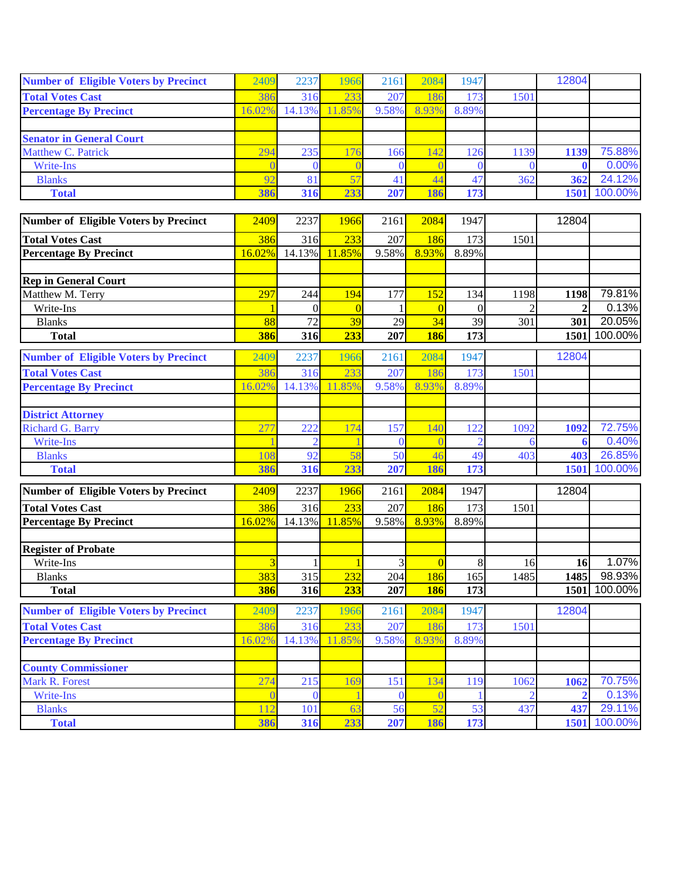| <b>Number of Eligible Voters by Precinct</b> | 2409           | 2237         | 1966           | 2161     | 2084           | 1947           |                | 12804        |         |
|----------------------------------------------|----------------|--------------|----------------|----------|----------------|----------------|----------------|--------------|---------|
| <b>Total Votes Cast</b>                      | 386            | 316          | 233            | 207      | 186            | 173            | 1501           |              |         |
| <b>Percentage By Precinct</b>                | 16.02%         | 14.13%       | 11.85%         | 9.58%    | 8.93%          | 8.89%          |                |              |         |
|                                              |                |              |                |          |                |                |                |              |         |
| <b>Senator in General Court</b>              |                |              |                |          |                |                |                |              |         |
| Matthew C. Patrick                           | 294            | 235          | 176            | 166      | 42             | 126            | 1139           | 1139         | 75.88%  |
| Write-Ins                                    |                | $\theta$     |                |          | $\Omega$       | $\Omega$       | $\theta$       |              | 0.00%   |
| <b>Blanks</b>                                | 92             | 81           | 57             | 41       | 44             | 47             | 362            | 362          | 24.12%  |
| <b>Total</b>                                 | 386            | 316          | 233            | 207      | 186            | 173            |                | 1501         | 100.00% |
|                                              |                |              |                |          |                |                |                |              |         |
| Number of Eligible Voters by Precinct        | 2409           | 2237         | 1966           | 2161     | 2084           | 1947           |                | 12804        |         |
| <b>Total Votes Cast</b>                      | 386            | 316          | 233            | 207      | 186            | 173            | 1501           |              |         |
| <b>Percentage By Precinct</b>                | 16.02%         | 14.13%       | 11.85%         | 9.58%    | 8.93%          | 8.89%          |                |              |         |
|                                              |                |              |                |          |                |                |                |              |         |
| <b>Rep in General Court</b>                  |                |              |                |          |                |                |                |              |         |
| Matthew M. Terry                             | 297            | 244          | 194            | 177      | 152            | 134            | 1198           | 1198         | 79.81%  |
| Write-Ins                                    |                | $\theta$     | $\overline{0}$ |          | $\overline{0}$ | $\overline{0}$ |                | $\mathbf{2}$ | 0.13%   |
| <b>Blanks</b>                                | 88             | 72           | 39             | 29       | 34             | 39             | 301            | 301          | 20.05%  |
| <b>Total</b>                                 | 386            | 316          | 233            | 207      | <b>186</b>     | 173            |                | 1501         | 100.00% |
| <b>Number of Eligible Voters by Precinct</b> | 2409           | 2237         | 1966           | 2161     | 2084           | 1947           |                | 12804        |         |
| <b>Total Votes Cast</b>                      | 386            | 316          | 233            | 207      | 186            | 173            | 1501           |              |         |
| <b>Percentage By Precinct</b>                | 16.02%         | 14.13%       | 11.85%         | 9.58%    | 8.93%          | 8.89%          |                |              |         |
|                                              |                |              |                |          |                |                |                |              |         |
| <b>District Attorney</b>                     |                |              |                |          |                |                |                |              |         |
| <b>Richard G. Barry</b>                      | 277            | 222          | 174            | 157      | 140            | 122            | 1092           | 1092         | 72.75%  |
| Write-Ins                                    |                |              |                | $\Omega$ | $\theta$       | $\overline{2}$ | 6              | 6            | 0.40%   |
| <b>Blanks</b>                                | 108            | 92           | 58             | 50       | 46             | 49             | 403            | 403          | 26.85%  |
| <b>Total</b>                                 | 386            | 316          | 233            | 207      | 186            | 173            |                | 1501         | 100.00% |
| <b>Number of Eligible Voters by Precinct</b> | 2409           | 2237         | 1966           | 2161     | 2084           | 1947           |                | 12804        |         |
| <b>Total Votes Cast</b>                      | 386            | 316          | 233            | 207      | 186            | 173            | 1501           |              |         |
| <b>Percentage By Precinct</b>                | 16.02%         | 14.13%       | 11.85%         | 9.58%    | 8.93%          | 8.89%          |                |              |         |
|                                              |                |              |                |          |                |                |                |              |         |
| <b>Register of Probate</b>                   |                |              |                |          |                |                |                |              |         |
| Write-Ins                                    | $\overline{3}$ | $\mathbf{1}$ | 1              | 3        | $\overline{0}$ | 8              | 16             | 16           | 1.07%   |
| <b>Blanks</b>                                | 383            | 315          | 232            | 204      | 186            | 165            | 1485           | 1485         | 98.93%  |
| <b>Total</b>                                 | 386            | 316          | 233            | 207      | <b>186</b>     | 173            |                | 1501         | 100.00% |
| <b>Number of Eligible Voters by Precinct</b> | 2409           | 2237         | 1966           | 2161     | 2084           | 1947           |                | 12804        |         |
| <b>Total Votes Cast</b>                      | 386            | 316          | 233            | 207      | 186            | 173            | 1501           |              |         |
| <b>Percentage By Precinct</b>                | 16.02%         | 14.13%       | 11.85%         | 9.58%    | 8.93%          | 8.89%          |                |              |         |
|                                              |                |              |                |          |                |                |                |              |         |
| <b>County Commissioner</b>                   |                |              |                |          |                |                |                |              |         |
| Mark R. Forest                               | 274            | 215          | 169            | 151      | 134            | 119            | 1062           | 1062         | 70.75%  |
| <b>Write-Ins</b>                             |                | $\theta$     |                | $\Omega$ | $\overline{0}$ |                | $\overline{2}$ | $\mathbf{2}$ | 0.13%   |
| <b>Blanks</b>                                | 112            | 101          | 63             | 56       | 52             | 53             | 437            | 437          | 29.11%  |
| <b>Total</b>                                 | 386            | 316          | 233            | 207      | 186            | 173            |                | 1501         | 100.00% |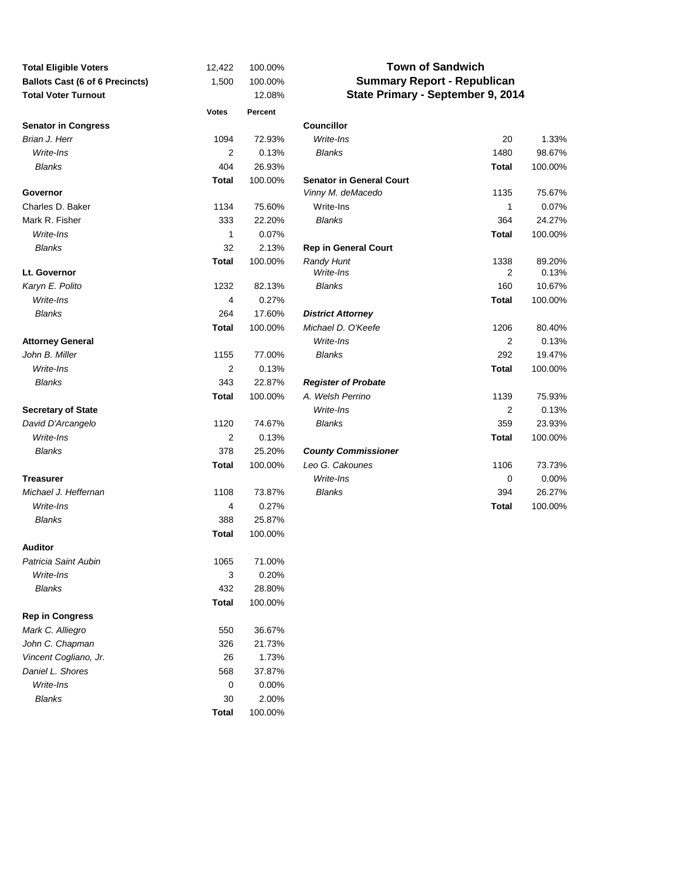| <b>Total Eligible Voters</b>           | 12,422                  | 100.00% | <b>Town of Sandwich</b>            |              |         |  |  |  |
|----------------------------------------|-------------------------|---------|------------------------------------|--------------|---------|--|--|--|
| <b>Ballots Cast (6 of 6 Precincts)</b> | 1,500                   | 100.00% | <b>Summary Report - Republican</b> |              |         |  |  |  |
| <b>Total Voter Turnout</b>             |                         | 12.08%  | State Primary - September 9, 2014  |              |         |  |  |  |
|                                        | <b>Votes</b>            | Percent |                                    |              |         |  |  |  |
| <b>Senator in Congress</b>             |                         |         | <b>Councillor</b>                  |              |         |  |  |  |
| Brian J. Herr                          | 1094                    | 72.93%  | Write-Ins                          | 20           | 1.33%   |  |  |  |
| Write-Ins                              | 2                       | 0.13%   | Blanks                             | 1480         | 98.67%  |  |  |  |
| <b>Blanks</b>                          | 404                     | 26.93%  |                                    | Total        | 100.00% |  |  |  |
|                                        | <b>Total</b>            | 100.00% | <b>Senator in General Court</b>    |              |         |  |  |  |
| Governor                               |                         |         | Vinny M. deMacedo                  | 1135         | 75.67%  |  |  |  |
| Charles D. Baker                       | 1134                    | 75.60%  | Write-Ins                          | 1            | 0.07%   |  |  |  |
| Mark R. Fisher                         | 333                     | 22.20%  | Blanks                             | 364          | 24.27%  |  |  |  |
| Write-Ins                              | 1                       | 0.07%   |                                    | <b>Total</b> | 100.00% |  |  |  |
| <b>Blanks</b>                          | 32                      | 2.13%   | <b>Rep in General Court</b>        |              |         |  |  |  |
|                                        | <b>Total</b>            | 100.00% | <b>Randy Hunt</b>                  | 1338         | 89.20%  |  |  |  |
| Lt. Governor                           |                         |         | Write-Ins                          | 2            | 0.13%   |  |  |  |
| Karyn E. Polito                        | 1232                    | 82.13%  | <b>Blanks</b>                      | 160          | 10.67%  |  |  |  |
| Write-Ins                              | 4                       | 0.27%   |                                    | Total        | 100.00% |  |  |  |
| <b>Blanks</b>                          | 264                     | 17.60%  | <b>District Attorney</b>           |              |         |  |  |  |
|                                        | <b>Total</b>            | 100.00% | Michael D. O'Keefe                 | 1206         | 80.40%  |  |  |  |
| <b>Attorney General</b>                |                         |         | Write-Ins                          | 2            | 0.13%   |  |  |  |
| John B. Miller                         | 1155                    | 77.00%  | Blanks                             | 292          | 19.47%  |  |  |  |
| Write-Ins                              | $\overline{\mathbf{c}}$ | 0.13%   |                                    | <b>Total</b> | 100.00% |  |  |  |
| <b>Blanks</b>                          | 343                     | 22.87%  | <b>Register of Probate</b>         |              |         |  |  |  |
|                                        | <b>Total</b>            | 100.00% | A. Welsh Perrino                   | 1139         | 75.93%  |  |  |  |
| <b>Secretary of State</b>              |                         |         | Write-Ins                          | 2            | 0.13%   |  |  |  |
| David D'Arcangelo                      | 1120                    | 74.67%  | <b>Blanks</b>                      | 359          | 23.93%  |  |  |  |
| Write-Ins                              | $\overline{\mathbf{c}}$ | 0.13%   |                                    | <b>Total</b> | 100.00% |  |  |  |
| <b>Blanks</b>                          | 378                     | 25.20%  | <b>County Commissioner</b>         |              |         |  |  |  |
|                                        | <b>Total</b>            | 100.00% | Leo G. Cakounes                    | 1106         | 73.73%  |  |  |  |
| <b>Treasurer</b>                       |                         |         | Write-Ins                          | 0            | 0.00%   |  |  |  |
| Michael J. Heffernan                   | 1108                    | 73.87%  | <b>Blanks</b>                      | 394          | 26.27%  |  |  |  |
| Write-Ins                              | 4                       | 0.27%   |                                    | Total        | 100.00% |  |  |  |
| <b>Blanks</b>                          | 388                     | 25.87%  |                                    |              |         |  |  |  |
|                                        | <b>Total</b>            | 100.00% |                                    |              |         |  |  |  |
| <b>Auditor</b>                         |                         |         |                                    |              |         |  |  |  |
| Patricia Saint Aubin                   | 1065                    | 71.00%  |                                    |              |         |  |  |  |
| Write-Ins                              | 3                       | 0.20%   |                                    |              |         |  |  |  |
| <b>Blanks</b>                          | 432                     | 28.80%  |                                    |              |         |  |  |  |
|                                        | <b>Total</b>            | 100.00% |                                    |              |         |  |  |  |
| <b>Rep in Congress</b>                 |                         |         |                                    |              |         |  |  |  |
| Mark C. Alliegro                       | 550                     | 36.67%  |                                    |              |         |  |  |  |
| John C. Chapman                        | 326                     | 21.73%  |                                    |              |         |  |  |  |
| Vincent Cogliano, Jr.                  | 26                      | 1.73%   |                                    |              |         |  |  |  |
| Daniel L. Shores                       | 568                     | 37.87%  |                                    |              |         |  |  |  |
| Write-Ins                              | 0                       | 0.00%   |                                    |              |         |  |  |  |
| <b>Blanks</b>                          | 30                      | 2.00%   |                                    |              |         |  |  |  |
|                                        | <b>Total</b>            | 100.00% |                                    |              |         |  |  |  |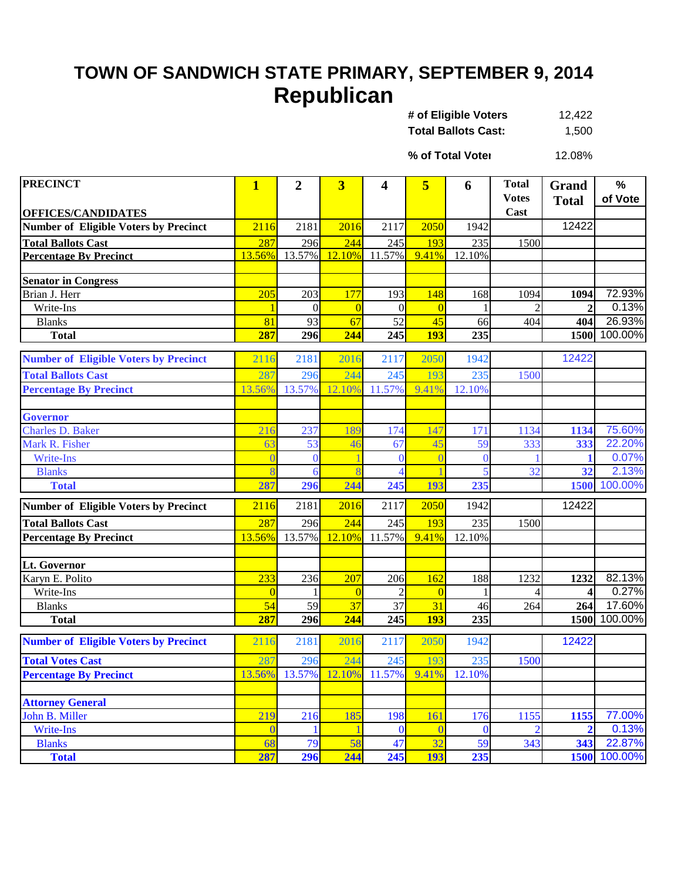## **TOWN OF SANDWICH STATE PRIMARY, SEPTEMBER 9, 2014 Republican**

12,422 **Total Ballots Cast:** 1,500 **# of Eligible Voters** 

12.08% **% of Total Voter**

| <b>PRECINCT</b>                              | $\mathbf{1}$ | $\overline{2}$ | 3              | 4              | 5          | 6        | <b>Total</b>   | Grand          | %            |
|----------------------------------------------|--------------|----------------|----------------|----------------|------------|----------|----------------|----------------|--------------|
|                                              |              |                |                |                |            |          | <b>Votes</b>   | <b>Total</b>   | of Vote      |
| <b>OFFICES/CANDIDATES</b>                    |              |                |                |                |            |          | Cast           |                |              |
| <b>Number of Eligible Voters by Precinct</b> | 2116         | 2181           | 2016           | 2117           | 2050       | 1942     |                | 12422          |              |
| <b>Total Ballots Cast</b>                    | 287          | 296            | 244            | 245            | 193        | 235      | 1500           |                |              |
| <b>Percentage By Precinct</b>                | 13.56%       | 13.57%         | 12.10%         | 11.57%         | 9.41%      | 12.10%   |                |                |              |
|                                              |              |                |                |                |            |          |                |                |              |
| <b>Senator in Congress</b>                   |              |                |                |                |            |          |                |                |              |
| Brian J. Herr                                | 205          | 203            | 177            | 193            | 148        | 168      | 1094           | 1094           | 72.93%       |
| Write-Ins                                    |              | $\Omega$       | $\overline{0}$ | $\theta$       |            |          |                | $\overline{2}$ | 0.13%        |
| <b>Blanks</b>                                | 81           | 93             | 67             | 52             | 45         | 66       | 404            | 404            | 26.93%       |
| <b>Total</b>                                 | 287          | 296            | 244            | 245            | <b>193</b> | 235      |                |                | 1500 100.00% |
| <b>Number of Eligible Voters by Precinct</b> | 2116         | 2181           | 2016           | 2117           | 2050       | 1942     |                | 12422          |              |
| <b>Total Ballots Cast</b>                    | 287          | 296            | 244            | 245            | 193        | 235      | 1500           |                |              |
| <b>Percentage By Precinct</b>                | 13.56%       | 13.57%         | 12.10%         | 11.57%         | 9.41%      | 12.10%   |                |                |              |
|                                              |              |                |                |                |            |          |                |                |              |
| <b>Governor</b>                              |              |                |                |                |            |          |                |                |              |
| <b>Charles D. Baker</b>                      | 216          | 237            | 189            | 174            | 147        | 171      | 1134           | 1134           | 75.60%       |
| Mark R. Fisher                               | 63           | 53             | 46             | 67             | 45         | 59       | 333            | 333            | 22.20%       |
| <b>Write-Ins</b>                             |              | $\theta$       |                | $\theta$       |            | $\theta$ |                |                | 0.07%        |
| <b>Blanks</b>                                |              | 6              |                | $\overline{4}$ |            |          | 32             | 32             | 2.13%        |
| <b>Total</b>                                 | 287          | 296            | 244            | 245            | 193        | 235      |                |                | 1500 100.00% |
| <b>Number of Eligible Voters by Precinct</b> | 2116         | 2181           | 2016           | 2117           | 2050       | 1942     |                | 12422          |              |
| <b>Total Ballots Cast</b>                    | 287          | 296            | 244            | 245            | 193        | 235      | 1500           |                |              |
| <b>Percentage By Precinct</b>                | 13.56%       | 13.57%         | 12.10%         | 11.57%         | 9.41%      | 12.10%   |                |                |              |
|                                              |              |                |                |                |            |          |                |                |              |
| Lt. Governor<br>Karyn E. Polito              | 233          | 236            | 207            | 206            | 162        | 188      | 1232           | 1232           | 82.13%       |
| Write-Ins                                    |              |                | $\overline{0}$ | $\overline{c}$ |            |          |                | 4              | 0.27%        |
| <b>Blanks</b>                                | 54           | 59             | 37             | 37             | 31         | 46       | 264            | 264            | 17.60%       |
| <b>Total</b>                                 | 287          | 296            | 244            | 245            | <b>193</b> | 235      |                |                | 1500 100.00% |
|                                              |              |                |                |                |            |          |                |                |              |
| <b>Number of Eligible Voters by Precinct</b> | 2116         | 2181           | 2016           | 2117           | 2050       | 1942     |                | 12422          |              |
| <b>Total Votes Cast</b>                      | 287          | 296            | 244            | 245            | 193        | 235      | 1500           |                |              |
| <b>Percentage By Precinct</b>                |              | 13.56% 13.57%  |                | 12.10% 11.57%  | 9.41%      | 12.10%   |                |                |              |
| <b>Attorney General</b>                      |              |                |                |                |            |          |                |                |              |
| John B. Miller                               | 219          | 216            | 185            | 198            | 161        | 176      | 1155           | 1155           | 77.00%       |
| Write-Ins                                    | $\bigcap$    |                |                | $\bf{0}$       | $\Omega$   | $\bf{0}$ | $\overline{2}$ | $\overline{2}$ | 0.13%        |
| <b>Blanks</b>                                | 68           | 79             | 58             | 47             | 32         | 59       | 343            | 343            | 22.87%       |
| <b>Total</b>                                 | 287          | 296            | 244            | 245            | <b>193</b> | 235      |                |                | 1500 100.00% |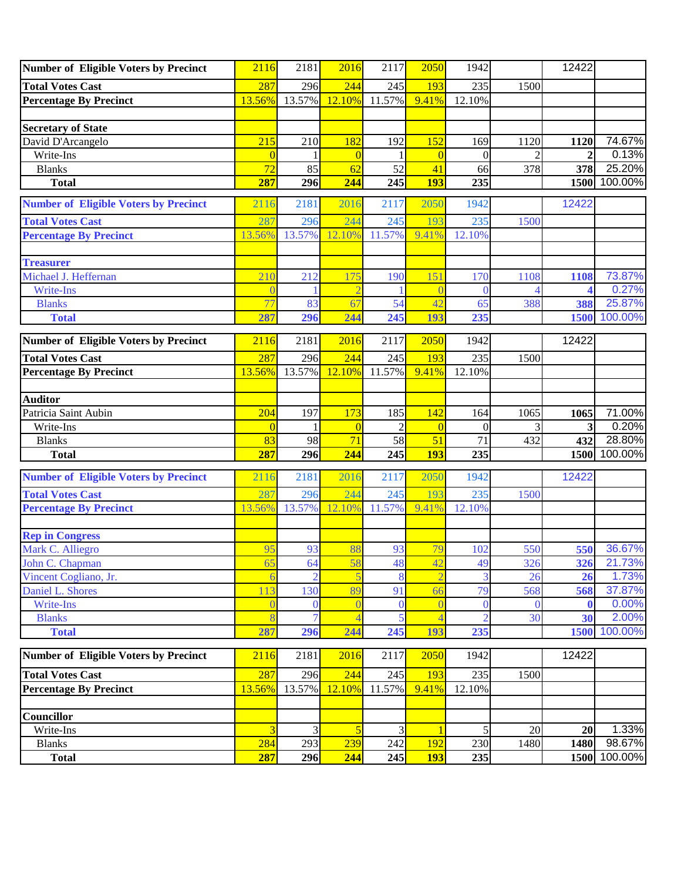| 244<br>287<br>296<br>193<br>235<br>245<br>1500<br>12.10%<br>11.57%<br>9.41%<br>12.10%<br>13.56%<br>13.57%<br>74.67%<br>David D'Arcangelo<br>215<br>182<br>152<br>210<br>192<br>169<br>1120<br>1120<br>Write-Ins<br>$\overline{0}$<br>$\theta$<br>$\Omega$<br>$\mathbf{2}$<br>0<br>72<br>85<br>52<br>41<br><b>Blanks</b><br>62<br>66<br>378<br>378<br>287<br>244<br>245<br>235<br>296<br><b>193</b><br>1500<br><b>Total</b><br>2116<br>2181<br>2016<br>2117<br>2050<br>1942<br>12422<br>244<br>287<br>193<br>235<br><b>Total Votes Cast</b><br>296<br>245<br>1500<br>9.41%<br>13.56%<br>13.57%<br>12.10%<br>11.57%<br>12.10%<br><b>Percentage By Precinct</b><br><b>Treasurer</b><br>Michael J. Heffernan<br>210<br>175<br>151<br>73.87%<br>212<br>190<br>170<br>1108<br>1108<br>0.27%<br>Write-Ins<br>$\Omega$<br>77<br>54<br>42<br><b>Blanks</b><br>83<br>67<br>65<br>388<br>388<br>287<br>244<br>245<br>235<br><b>Total</b><br>296<br>193<br>1500<br>2181<br>2117<br>2050<br>12422<br><b>Number of Eligible Voters by Precinct</b><br>2016<br>1942<br>2116<br>287<br>296<br>244<br>193<br>235<br><b>Total Votes Cast</b><br>245<br>1500<br>13.57%<br>11.57%<br>12.10%<br>13.56%<br>12.10%<br>9.41%<br><b>Percentage By Precinct</b><br><b>Auditor</b><br>204<br>173<br>142<br>Patricia Saint Aubin<br>197<br>185<br>164<br>1065<br>1065<br>3<br>$\overline{0}$<br>$\mathfrak{D}$<br>Write-Ins<br>$\Omega$<br>$\Omega$<br>71<br>58<br>51<br>71<br>432<br>432<br><b>Blanks</b><br>83<br>98<br>244<br>287<br>245<br><b>193</b><br>235<br><b>Total</b><br>296<br>2016<br>2050<br><b>Number of Eligible Voters by Precinct</b><br>2116<br>2181<br>2117<br>1942<br>12422<br>287<br>244<br><b>Total Votes Cast</b><br>296<br>245<br>193<br>235<br>1500<br><b>Percentage By Precinct</b><br>13.56%<br>13.57%<br>12.10%<br>11.57%<br>9.41%<br>12.10%<br><b>Rep in Congress</b><br>79<br>Mark C. Alliegro<br>95<br>93<br>88<br>93<br>550<br>550<br>102<br>John C. Chapman<br>64<br>58<br>48<br>42<br>49<br>326<br>326<br>65<br>$\overline{2}$<br>5<br>8<br>$\overline{3}$<br>26<br>Vincent Cogliano, Jr.<br>26<br>89<br>79<br>Daniel L. Shores<br>130<br>91<br>568<br>568<br>113<br>66<br>Write-Ins<br>$\theta$<br>$\overline{0}$<br>$\theta$<br>$\theta$<br>$\Omega$<br>0<br>5<br>$\overline{2}$<br>30<br><b>Blanks</b><br>$\overline{4}$<br>30<br>245<br>235<br>287<br>296<br>244<br>193<br>1500<br><b>Total</b><br><b>Number of Eligible Voters by Precinct</b><br>2181<br>2016<br>2117<br>2050<br>12422<br>2116<br>1942<br>244<br>235<br><b>Total Votes Cast</b><br>287<br>296<br>193<br>245<br>1500<br><b>Percentage By Precinct</b><br>13.57%<br>12.10%<br>11.57%<br>9.41%<br>12.10%<br>13.56%<br><b>Councillor</b><br>3<br>3<br>5<br>Write-Ins<br>3<br>5<br>20<br>20<br>284<br>293<br>239<br>242<br>192<br>230<br>1480<br><b>Blanks</b><br>1480<br>1500 | <b>Number of Eligible Voters by Precinct</b> | 2116 | 2181 | 2016 | 2117 | 2050       | 1942 | 12422 |         |
|--------------------------------------------------------------------------------------------------------------------------------------------------------------------------------------------------------------------------------------------------------------------------------------------------------------------------------------------------------------------------------------------------------------------------------------------------------------------------------------------------------------------------------------------------------------------------------------------------------------------------------------------------------------------------------------------------------------------------------------------------------------------------------------------------------------------------------------------------------------------------------------------------------------------------------------------------------------------------------------------------------------------------------------------------------------------------------------------------------------------------------------------------------------------------------------------------------------------------------------------------------------------------------------------------------------------------------------------------------------------------------------------------------------------------------------------------------------------------------------------------------------------------------------------------------------------------------------------------------------------------------------------------------------------------------------------------------------------------------------------------------------------------------------------------------------------------------------------------------------------------------------------------------------------------------------------------------------------------------------------------------------------------------------------------------------------------------------------------------------------------------------------------------------------------------------------------------------------------------------------------------------------------------------------------------------------------------------------------------------------------------------------------------------------------------------------------------------------------------------------------------------------------------------------------------------------------------------------------------------------------------------------------------------------------------------------------------------------------------------------------------------------------------------------------------------------------------------------------------|----------------------------------------------|------|------|------|------|------------|------|-------|---------|
| 0.13%<br>25.20%<br>100.00%<br>100.00%<br>71.00%<br>0.20%<br>28.80%<br>1500 100.00%<br>36.67%<br>21.73%<br>1.73%<br>37.87%<br>0.00%<br>2.00%<br>1.33%<br>98.67%                                                                                                                                                                                                                                                                                                                                                                                                                                                                                                                                                                                                                                                                                                                                                                                                                                                                                                                                                                                                                                                                                                                                                                                                                                                                                                                                                                                                                                                                                                                                                                                                                                                                                                                                                                                                                                                                                                                                                                                                                                                                                                                                                                                                                                                                                                                                                                                                                                                                                                                                                                                                                                                                                         | <b>Total Votes Cast</b>                      |      |      |      |      |            |      |       |         |
|                                                                                                                                                                                                                                                                                                                                                                                                                                                                                                                                                                                                                                                                                                                                                                                                                                                                                                                                                                                                                                                                                                                                                                                                                                                                                                                                                                                                                                                                                                                                                                                                                                                                                                                                                                                                                                                                                                                                                                                                                                                                                                                                                                                                                                                                                                                                                                                                                                                                                                                                                                                                                                                                                                                                                                                                                                                        | <b>Percentage By Precinct</b>                |      |      |      |      |            |      |       |         |
|                                                                                                                                                                                                                                                                                                                                                                                                                                                                                                                                                                                                                                                                                                                                                                                                                                                                                                                                                                                                                                                                                                                                                                                                                                                                                                                                                                                                                                                                                                                                                                                                                                                                                                                                                                                                                                                                                                                                                                                                                                                                                                                                                                                                                                                                                                                                                                                                                                                                                                                                                                                                                                                                                                                                                                                                                                                        |                                              |      |      |      |      |            |      |       |         |
|                                                                                                                                                                                                                                                                                                                                                                                                                                                                                                                                                                                                                                                                                                                                                                                                                                                                                                                                                                                                                                                                                                                                                                                                                                                                                                                                                                                                                                                                                                                                                                                                                                                                                                                                                                                                                                                                                                                                                                                                                                                                                                                                                                                                                                                                                                                                                                                                                                                                                                                                                                                                                                                                                                                                                                                                                                                        | <b>Secretary of State</b>                    |      |      |      |      |            |      |       |         |
|                                                                                                                                                                                                                                                                                                                                                                                                                                                                                                                                                                                                                                                                                                                                                                                                                                                                                                                                                                                                                                                                                                                                                                                                                                                                                                                                                                                                                                                                                                                                                                                                                                                                                                                                                                                                                                                                                                                                                                                                                                                                                                                                                                                                                                                                                                                                                                                                                                                                                                                                                                                                                                                                                                                                                                                                                                                        |                                              |      |      |      |      |            |      |       |         |
|                                                                                                                                                                                                                                                                                                                                                                                                                                                                                                                                                                                                                                                                                                                                                                                                                                                                                                                                                                                                                                                                                                                                                                                                                                                                                                                                                                                                                                                                                                                                                                                                                                                                                                                                                                                                                                                                                                                                                                                                                                                                                                                                                                                                                                                                                                                                                                                                                                                                                                                                                                                                                                                                                                                                                                                                                                                        |                                              |      |      |      |      |            |      |       |         |
|                                                                                                                                                                                                                                                                                                                                                                                                                                                                                                                                                                                                                                                                                                                                                                                                                                                                                                                                                                                                                                                                                                                                                                                                                                                                                                                                                                                                                                                                                                                                                                                                                                                                                                                                                                                                                                                                                                                                                                                                                                                                                                                                                                                                                                                                                                                                                                                                                                                                                                                                                                                                                                                                                                                                                                                                                                                        |                                              |      |      |      |      |            |      |       |         |
|                                                                                                                                                                                                                                                                                                                                                                                                                                                                                                                                                                                                                                                                                                                                                                                                                                                                                                                                                                                                                                                                                                                                                                                                                                                                                                                                                                                                                                                                                                                                                                                                                                                                                                                                                                                                                                                                                                                                                                                                                                                                                                                                                                                                                                                                                                                                                                                                                                                                                                                                                                                                                                                                                                                                                                                                                                                        |                                              |      |      |      |      |            |      |       |         |
|                                                                                                                                                                                                                                                                                                                                                                                                                                                                                                                                                                                                                                                                                                                                                                                                                                                                                                                                                                                                                                                                                                                                                                                                                                                                                                                                                                                                                                                                                                                                                                                                                                                                                                                                                                                                                                                                                                                                                                                                                                                                                                                                                                                                                                                                                                                                                                                                                                                                                                                                                                                                                                                                                                                                                                                                                                                        | <b>Number of Eligible Voters by Precinct</b> |      |      |      |      |            |      |       |         |
|                                                                                                                                                                                                                                                                                                                                                                                                                                                                                                                                                                                                                                                                                                                                                                                                                                                                                                                                                                                                                                                                                                                                                                                                                                                                                                                                                                                                                                                                                                                                                                                                                                                                                                                                                                                                                                                                                                                                                                                                                                                                                                                                                                                                                                                                                                                                                                                                                                                                                                                                                                                                                                                                                                                                                                                                                                                        |                                              |      |      |      |      |            |      |       |         |
|                                                                                                                                                                                                                                                                                                                                                                                                                                                                                                                                                                                                                                                                                                                                                                                                                                                                                                                                                                                                                                                                                                                                                                                                                                                                                                                                                                                                                                                                                                                                                                                                                                                                                                                                                                                                                                                                                                                                                                                                                                                                                                                                                                                                                                                                                                                                                                                                                                                                                                                                                                                                                                                                                                                                                                                                                                                        |                                              |      |      |      |      |            |      |       |         |
|                                                                                                                                                                                                                                                                                                                                                                                                                                                                                                                                                                                                                                                                                                                                                                                                                                                                                                                                                                                                                                                                                                                                                                                                                                                                                                                                                                                                                                                                                                                                                                                                                                                                                                                                                                                                                                                                                                                                                                                                                                                                                                                                                                                                                                                                                                                                                                                                                                                                                                                                                                                                                                                                                                                                                                                                                                                        |                                              |      |      |      |      |            |      |       |         |
|                                                                                                                                                                                                                                                                                                                                                                                                                                                                                                                                                                                                                                                                                                                                                                                                                                                                                                                                                                                                                                                                                                                                                                                                                                                                                                                                                                                                                                                                                                                                                                                                                                                                                                                                                                                                                                                                                                                                                                                                                                                                                                                                                                                                                                                                                                                                                                                                                                                                                                                                                                                                                                                                                                                                                                                                                                                        |                                              |      |      |      |      |            |      |       |         |
|                                                                                                                                                                                                                                                                                                                                                                                                                                                                                                                                                                                                                                                                                                                                                                                                                                                                                                                                                                                                                                                                                                                                                                                                                                                                                                                                                                                                                                                                                                                                                                                                                                                                                                                                                                                                                                                                                                                                                                                                                                                                                                                                                                                                                                                                                                                                                                                                                                                                                                                                                                                                                                                                                                                                                                                                                                                        |                                              |      |      |      |      |            |      |       |         |
|                                                                                                                                                                                                                                                                                                                                                                                                                                                                                                                                                                                                                                                                                                                                                                                                                                                                                                                                                                                                                                                                                                                                                                                                                                                                                                                                                                                                                                                                                                                                                                                                                                                                                                                                                                                                                                                                                                                                                                                                                                                                                                                                                                                                                                                                                                                                                                                                                                                                                                                                                                                                                                                                                                                                                                                                                                                        |                                              |      |      |      |      |            |      |       |         |
|                                                                                                                                                                                                                                                                                                                                                                                                                                                                                                                                                                                                                                                                                                                                                                                                                                                                                                                                                                                                                                                                                                                                                                                                                                                                                                                                                                                                                                                                                                                                                                                                                                                                                                                                                                                                                                                                                                                                                                                                                                                                                                                                                                                                                                                                                                                                                                                                                                                                                                                                                                                                                                                                                                                                                                                                                                                        |                                              |      |      |      |      |            |      |       | 25.87%  |
|                                                                                                                                                                                                                                                                                                                                                                                                                                                                                                                                                                                                                                                                                                                                                                                                                                                                                                                                                                                                                                                                                                                                                                                                                                                                                                                                                                                                                                                                                                                                                                                                                                                                                                                                                                                                                                                                                                                                                                                                                                                                                                                                                                                                                                                                                                                                                                                                                                                                                                                                                                                                                                                                                                                                                                                                                                                        |                                              |      |      |      |      |            |      |       |         |
|                                                                                                                                                                                                                                                                                                                                                                                                                                                                                                                                                                                                                                                                                                                                                                                                                                                                                                                                                                                                                                                                                                                                                                                                                                                                                                                                                                                                                                                                                                                                                                                                                                                                                                                                                                                                                                                                                                                                                                                                                                                                                                                                                                                                                                                                                                                                                                                                                                                                                                                                                                                                                                                                                                                                                                                                                                                        |                                              |      |      |      |      |            |      |       |         |
|                                                                                                                                                                                                                                                                                                                                                                                                                                                                                                                                                                                                                                                                                                                                                                                                                                                                                                                                                                                                                                                                                                                                                                                                                                                                                                                                                                                                                                                                                                                                                                                                                                                                                                                                                                                                                                                                                                                                                                                                                                                                                                                                                                                                                                                                                                                                                                                                                                                                                                                                                                                                                                                                                                                                                                                                                                                        |                                              |      |      |      |      |            |      |       |         |
|                                                                                                                                                                                                                                                                                                                                                                                                                                                                                                                                                                                                                                                                                                                                                                                                                                                                                                                                                                                                                                                                                                                                                                                                                                                                                                                                                                                                                                                                                                                                                                                                                                                                                                                                                                                                                                                                                                                                                                                                                                                                                                                                                                                                                                                                                                                                                                                                                                                                                                                                                                                                                                                                                                                                                                                                                                                        |                                              |      |      |      |      |            |      |       |         |
|                                                                                                                                                                                                                                                                                                                                                                                                                                                                                                                                                                                                                                                                                                                                                                                                                                                                                                                                                                                                                                                                                                                                                                                                                                                                                                                                                                                                                                                                                                                                                                                                                                                                                                                                                                                                                                                                                                                                                                                                                                                                                                                                                                                                                                                                                                                                                                                                                                                                                                                                                                                                                                                                                                                                                                                                                                                        |                                              |      |      |      |      |            |      |       |         |
|                                                                                                                                                                                                                                                                                                                                                                                                                                                                                                                                                                                                                                                                                                                                                                                                                                                                                                                                                                                                                                                                                                                                                                                                                                                                                                                                                                                                                                                                                                                                                                                                                                                                                                                                                                                                                                                                                                                                                                                                                                                                                                                                                                                                                                                                                                                                                                                                                                                                                                                                                                                                                                                                                                                                                                                                                                                        |                                              |      |      |      |      |            |      |       |         |
|                                                                                                                                                                                                                                                                                                                                                                                                                                                                                                                                                                                                                                                                                                                                                                                                                                                                                                                                                                                                                                                                                                                                                                                                                                                                                                                                                                                                                                                                                                                                                                                                                                                                                                                                                                                                                                                                                                                                                                                                                                                                                                                                                                                                                                                                                                                                                                                                                                                                                                                                                                                                                                                                                                                                                                                                                                                        |                                              |      |      |      |      |            |      |       |         |
|                                                                                                                                                                                                                                                                                                                                                                                                                                                                                                                                                                                                                                                                                                                                                                                                                                                                                                                                                                                                                                                                                                                                                                                                                                                                                                                                                                                                                                                                                                                                                                                                                                                                                                                                                                                                                                                                                                                                                                                                                                                                                                                                                                                                                                                                                                                                                                                                                                                                                                                                                                                                                                                                                                                                                                                                                                                        |                                              |      |      |      |      |            |      |       |         |
|                                                                                                                                                                                                                                                                                                                                                                                                                                                                                                                                                                                                                                                                                                                                                                                                                                                                                                                                                                                                                                                                                                                                                                                                                                                                                                                                                                                                                                                                                                                                                                                                                                                                                                                                                                                                                                                                                                                                                                                                                                                                                                                                                                                                                                                                                                                                                                                                                                                                                                                                                                                                                                                                                                                                                                                                                                                        |                                              |      |      |      |      |            |      |       |         |
|                                                                                                                                                                                                                                                                                                                                                                                                                                                                                                                                                                                                                                                                                                                                                                                                                                                                                                                                                                                                                                                                                                                                                                                                                                                                                                                                                                                                                                                                                                                                                                                                                                                                                                                                                                                                                                                                                                                                                                                                                                                                                                                                                                                                                                                                                                                                                                                                                                                                                                                                                                                                                                                                                                                                                                                                                                                        |                                              |      |      |      |      |            |      |       |         |
|                                                                                                                                                                                                                                                                                                                                                                                                                                                                                                                                                                                                                                                                                                                                                                                                                                                                                                                                                                                                                                                                                                                                                                                                                                                                                                                                                                                                                                                                                                                                                                                                                                                                                                                                                                                                                                                                                                                                                                                                                                                                                                                                                                                                                                                                                                                                                                                                                                                                                                                                                                                                                                                                                                                                                                                                                                                        |                                              |      |      |      |      |            |      |       |         |
|                                                                                                                                                                                                                                                                                                                                                                                                                                                                                                                                                                                                                                                                                                                                                                                                                                                                                                                                                                                                                                                                                                                                                                                                                                                                                                                                                                                                                                                                                                                                                                                                                                                                                                                                                                                                                                                                                                                                                                                                                                                                                                                                                                                                                                                                                                                                                                                                                                                                                                                                                                                                                                                                                                                                                                                                                                                        |                                              |      |      |      |      |            |      |       |         |
|                                                                                                                                                                                                                                                                                                                                                                                                                                                                                                                                                                                                                                                                                                                                                                                                                                                                                                                                                                                                                                                                                                                                                                                                                                                                                                                                                                                                                                                                                                                                                                                                                                                                                                                                                                                                                                                                                                                                                                                                                                                                                                                                                                                                                                                                                                                                                                                                                                                                                                                                                                                                                                                                                                                                                                                                                                                        |                                              |      |      |      |      |            |      |       |         |
|                                                                                                                                                                                                                                                                                                                                                                                                                                                                                                                                                                                                                                                                                                                                                                                                                                                                                                                                                                                                                                                                                                                                                                                                                                                                                                                                                                                                                                                                                                                                                                                                                                                                                                                                                                                                                                                                                                                                                                                                                                                                                                                                                                                                                                                                                                                                                                                                                                                                                                                                                                                                                                                                                                                                                                                                                                                        |                                              |      |      |      |      |            |      |       |         |
|                                                                                                                                                                                                                                                                                                                                                                                                                                                                                                                                                                                                                                                                                                                                                                                                                                                                                                                                                                                                                                                                                                                                                                                                                                                                                                                                                                                                                                                                                                                                                                                                                                                                                                                                                                                                                                                                                                                                                                                                                                                                                                                                                                                                                                                                                                                                                                                                                                                                                                                                                                                                                                                                                                                                                                                                                                                        |                                              |      |      |      |      |            |      |       |         |
|                                                                                                                                                                                                                                                                                                                                                                                                                                                                                                                                                                                                                                                                                                                                                                                                                                                                                                                                                                                                                                                                                                                                                                                                                                                                                                                                                                                                                                                                                                                                                                                                                                                                                                                                                                                                                                                                                                                                                                                                                                                                                                                                                                                                                                                                                                                                                                                                                                                                                                                                                                                                                                                                                                                                                                                                                                                        |                                              |      |      |      |      |            |      |       |         |
|                                                                                                                                                                                                                                                                                                                                                                                                                                                                                                                                                                                                                                                                                                                                                                                                                                                                                                                                                                                                                                                                                                                                                                                                                                                                                                                                                                                                                                                                                                                                                                                                                                                                                                                                                                                                                                                                                                                                                                                                                                                                                                                                                                                                                                                                                                                                                                                                                                                                                                                                                                                                                                                                                                                                                                                                                                                        |                                              |      |      |      |      |            |      |       |         |
|                                                                                                                                                                                                                                                                                                                                                                                                                                                                                                                                                                                                                                                                                                                                                                                                                                                                                                                                                                                                                                                                                                                                                                                                                                                                                                                                                                                                                                                                                                                                                                                                                                                                                                                                                                                                                                                                                                                                                                                                                                                                                                                                                                                                                                                                                                                                                                                                                                                                                                                                                                                                                                                                                                                                                                                                                                                        |                                              |      |      |      |      |            |      |       |         |
|                                                                                                                                                                                                                                                                                                                                                                                                                                                                                                                                                                                                                                                                                                                                                                                                                                                                                                                                                                                                                                                                                                                                                                                                                                                                                                                                                                                                                                                                                                                                                                                                                                                                                                                                                                                                                                                                                                                                                                                                                                                                                                                                                                                                                                                                                                                                                                                                                                                                                                                                                                                                                                                                                                                                                                                                                                                        |                                              |      |      |      |      |            |      |       |         |
|                                                                                                                                                                                                                                                                                                                                                                                                                                                                                                                                                                                                                                                                                                                                                                                                                                                                                                                                                                                                                                                                                                                                                                                                                                                                                                                                                                                                                                                                                                                                                                                                                                                                                                                                                                                                                                                                                                                                                                                                                                                                                                                                                                                                                                                                                                                                                                                                                                                                                                                                                                                                                                                                                                                                                                                                                                                        |                                              |      |      |      |      |            |      |       |         |
|                                                                                                                                                                                                                                                                                                                                                                                                                                                                                                                                                                                                                                                                                                                                                                                                                                                                                                                                                                                                                                                                                                                                                                                                                                                                                                                                                                                                                                                                                                                                                                                                                                                                                                                                                                                                                                                                                                                                                                                                                                                                                                                                                                                                                                                                                                                                                                                                                                                                                                                                                                                                                                                                                                                                                                                                                                                        |                                              |      |      |      |      |            |      |       |         |
|                                                                                                                                                                                                                                                                                                                                                                                                                                                                                                                                                                                                                                                                                                                                                                                                                                                                                                                                                                                                                                                                                                                                                                                                                                                                                                                                                                                                                                                                                                                                                                                                                                                                                                                                                                                                                                                                                                                                                                                                                                                                                                                                                                                                                                                                                                                                                                                                                                                                                                                                                                                                                                                                                                                                                                                                                                                        |                                              |      |      |      |      |            |      |       | 100.00% |
|                                                                                                                                                                                                                                                                                                                                                                                                                                                                                                                                                                                                                                                                                                                                                                                                                                                                                                                                                                                                                                                                                                                                                                                                                                                                                                                                                                                                                                                                                                                                                                                                                                                                                                                                                                                                                                                                                                                                                                                                                                                                                                                                                                                                                                                                                                                                                                                                                                                                                                                                                                                                                                                                                                                                                                                                                                                        |                                              |      |      |      |      |            |      |       |         |
|                                                                                                                                                                                                                                                                                                                                                                                                                                                                                                                                                                                                                                                                                                                                                                                                                                                                                                                                                                                                                                                                                                                                                                                                                                                                                                                                                                                                                                                                                                                                                                                                                                                                                                                                                                                                                                                                                                                                                                                                                                                                                                                                                                                                                                                                                                                                                                                                                                                                                                                                                                                                                                                                                                                                                                                                                                                        |                                              |      |      |      |      |            |      |       |         |
|                                                                                                                                                                                                                                                                                                                                                                                                                                                                                                                                                                                                                                                                                                                                                                                                                                                                                                                                                                                                                                                                                                                                                                                                                                                                                                                                                                                                                                                                                                                                                                                                                                                                                                                                                                                                                                                                                                                                                                                                                                                                                                                                                                                                                                                                                                                                                                                                                                                                                                                                                                                                                                                                                                                                                                                                                                                        |                                              |      |      |      |      |            |      |       |         |
|                                                                                                                                                                                                                                                                                                                                                                                                                                                                                                                                                                                                                                                                                                                                                                                                                                                                                                                                                                                                                                                                                                                                                                                                                                                                                                                                                                                                                                                                                                                                                                                                                                                                                                                                                                                                                                                                                                                                                                                                                                                                                                                                                                                                                                                                                                                                                                                                                                                                                                                                                                                                                                                                                                                                                                                                                                                        |                                              |      |      |      |      |            |      |       |         |
|                                                                                                                                                                                                                                                                                                                                                                                                                                                                                                                                                                                                                                                                                                                                                                                                                                                                                                                                                                                                                                                                                                                                                                                                                                                                                                                                                                                                                                                                                                                                                                                                                                                                                                                                                                                                                                                                                                                                                                                                                                                                                                                                                                                                                                                                                                                                                                                                                                                                                                                                                                                                                                                                                                                                                                                                                                                        |                                              |      |      |      |      |            |      |       |         |
|                                                                                                                                                                                                                                                                                                                                                                                                                                                                                                                                                                                                                                                                                                                                                                                                                                                                                                                                                                                                                                                                                                                                                                                                                                                                                                                                                                                                                                                                                                                                                                                                                                                                                                                                                                                                                                                                                                                                                                                                                                                                                                                                                                                                                                                                                                                                                                                                                                                                                                                                                                                                                                                                                                                                                                                                                                                        |                                              |      |      |      |      |            |      |       |         |
|                                                                                                                                                                                                                                                                                                                                                                                                                                                                                                                                                                                                                                                                                                                                                                                                                                                                                                                                                                                                                                                                                                                                                                                                                                                                                                                                                                                                                                                                                                                                                                                                                                                                                                                                                                                                                                                                                                                                                                                                                                                                                                                                                                                                                                                                                                                                                                                                                                                                                                                                                                                                                                                                                                                                                                                                                                                        |                                              |      |      |      |      |            |      |       |         |
|                                                                                                                                                                                                                                                                                                                                                                                                                                                                                                                                                                                                                                                                                                                                                                                                                                                                                                                                                                                                                                                                                                                                                                                                                                                                                                                                                                                                                                                                                                                                                                                                                                                                                                                                                                                                                                                                                                                                                                                                                                                                                                                                                                                                                                                                                                                                                                                                                                                                                                                                                                                                                                                                                                                                                                                                                                                        | <b>Total</b>                                 | 287  | 296  | 244  | 245  | <b>193</b> | 235  |       | 100.00% |